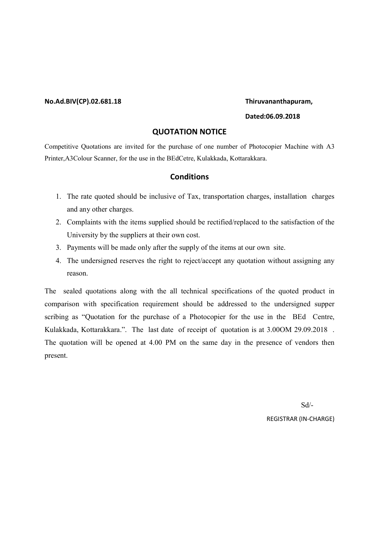#### No.Ad.BIV(CP).02.681.18 Thiruvananthapuram,

#### Dated:06.09.2018

### QUOTATION NOTICE

Competitive Quotations are invited for the purchase of one number of Photocopier Machine with A3 Printer,A3Colour Scanner, for the use in the BEdCetre, Kulakkada, Kottarakkara.

### **Conditions**

- 1. The rate quoted should be inclusive of Tax, transportation charges, installation charges and any other charges.
- 2. Complaints with the items supplied should be rectified/replaced to the satisfaction of the University by the suppliers at their own cost.
- 3. Payments will be made only after the supply of the items at our own site.
- 4. The undersigned reserves the right to reject/accept any quotation without assigning any reason.

The sealed quotations along with the all technical specifications of the quoted product in comparison with specification requirement should be addressed to the undersigned supper scribing as "Quotation for the purchase of a Photocopier for the use in the BEd Centre, Kulakkada, Kottarakkara.". The last date of receipt of quotation is at 3.00OM 29.09.2018 . The quotation will be opened at 4.00 PM on the same day in the presence of vendors then present.

 Sd/- REGISTRAR (IN-CHARGE)